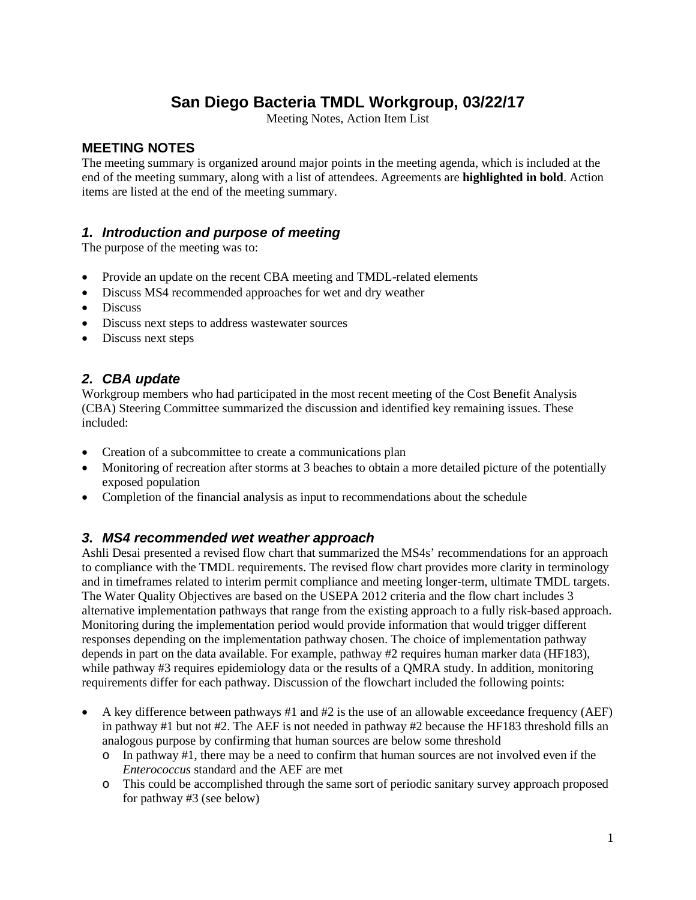### **San Diego Bacteria TMDL Workgroup, 03/22/17**

Meeting Notes, Action Item List

#### **MEETING NOTES**

The meeting summary is organized around major points in the meeting agenda, which is included at the end of the meeting summary, along with a list of attendees. Agreements are **highlighted in bold**. Action items are listed at the end of the meeting summary.

#### *1. Introduction and purpose of meeting*

The purpose of the meeting was to:

- Provide an update on the recent CBA meeting and TMDL-related elements
- Discuss MS4 recommended approaches for wet and dry weather
- Discuss
- Discuss next steps to address wastewater sources
- Discuss next steps

#### *2. CBA update*

Workgroup members who had participated in the most recent meeting of the Cost Benefit Analysis (CBA) Steering Committee summarized the discussion and identified key remaining issues. These included:

- Creation of a subcommittee to create a communications plan
- Monitoring of recreation after storms at 3 beaches to obtain a more detailed picture of the potentially exposed population
- Completion of the financial analysis as input to recommendations about the schedule

#### *3. MS4 recommended wet weather approach*

Ashli Desai presented a revised flow chart that summarized the MS4s' recommendations for an approach to compliance with the TMDL requirements. The revised flow chart provides more clarity in terminology and in timeframes related to interim permit compliance and meeting longer-term, ultimate TMDL targets. The Water Quality Objectives are based on the USEPA 2012 criteria and the flow chart includes 3 alternative implementation pathways that range from the existing approach to a fully risk-based approach. Monitoring during the implementation period would provide information that would trigger different responses depending on the implementation pathway chosen. The choice of implementation pathway depends in part on the data available. For example, pathway #2 requires human marker data (HF183), while pathway #3 requires epidemiology data or the results of a QMRA study. In addition, monitoring requirements differ for each pathway. Discussion of the flowchart included the following points:

- A key difference between pathways #1 and #2 is the use of an allowable exceedance frequency (AEF) in pathway #1 but not #2. The AEF is not needed in pathway #2 because the HF183 threshold fills an analogous purpose by confirming that human sources are below some threshold
	- $\circ$  In pathway #1, there may be a need to confirm that human sources are not involved even if the *Enterococcus* standard and the AEF are met
	- o This could be accomplished through the same sort of periodic sanitary survey approach proposed for pathway #3 (see below)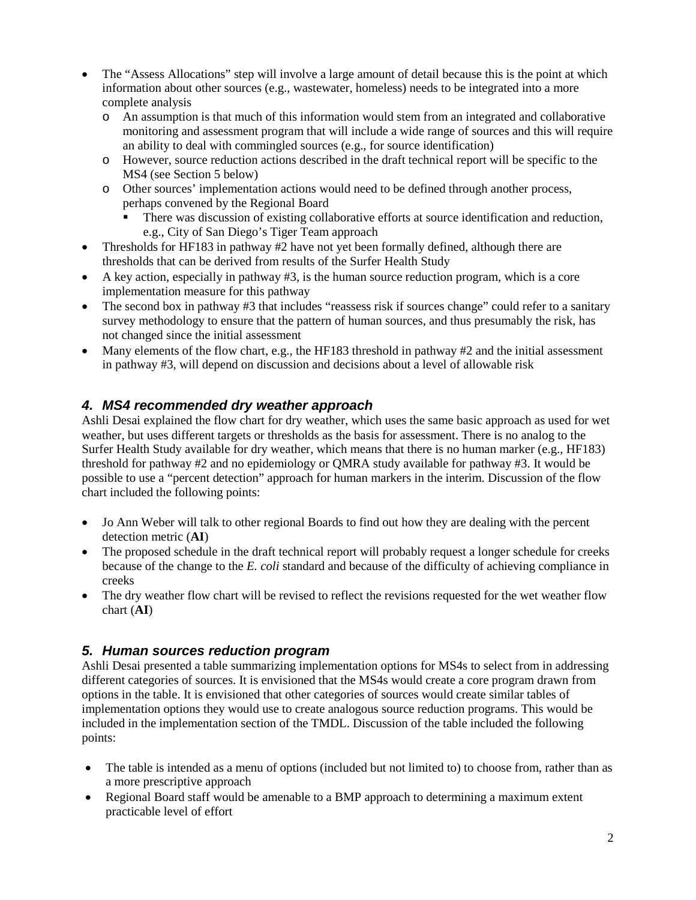- The "Assess Allocations" step will involve a large amount of detail because this is the point at which information about other sources (e.g., wastewater, homeless) needs to be integrated into a more complete analysis
	- o An assumption is that much of this information would stem from an integrated and collaborative monitoring and assessment program that will include a wide range of sources and this will require an ability to deal with commingled sources (e.g., for source identification)
	- o However, source reduction actions described in the draft technical report will be specific to the MS4 (see Section 5 below)
	- o Other sources' implementation actions would need to be defined through another process, perhaps convened by the Regional Board
		- There was discussion of existing collaborative efforts at source identification and reduction, e.g., City of San Diego's Tiger Team approach
- Thresholds for HF183 in pathway #2 have not yet been formally defined, although there are thresholds that can be derived from results of the Surfer Health Study
- A key action, especially in pathway #3, is the human source reduction program, which is a core implementation measure for this pathway
- The second box in pathway #3 that includes "reassess risk if sources change" could refer to a sanitary survey methodology to ensure that the pattern of human sources, and thus presumably the risk, has not changed since the initial assessment
- Many elements of the flow chart, e.g., the HF183 threshold in pathway #2 and the initial assessment in pathway #3, will depend on discussion and decisions about a level of allowable risk

#### *4. MS4 recommended dry weather approach*

Ashli Desai explained the flow chart for dry weather, which uses the same basic approach as used for wet weather, but uses different targets or thresholds as the basis for assessment. There is no analog to the Surfer Health Study available for dry weather, which means that there is no human marker (e.g., HF183) threshold for pathway #2 and no epidemiology or QMRA study available for pathway #3. It would be possible to use a "percent detection" approach for human markers in the interim. Discussion of the flow chart included the following points:

- Jo Ann Weber will talk to other regional Boards to find out how they are dealing with the percent detection metric (**AI**)
- The proposed schedule in the draft technical report will probably request a longer schedule for creeks because of the change to the *E. coli* standard and because of the difficulty of achieving compliance in creeks
- The dry weather flow chart will be revised to reflect the revisions requested for the wet weather flow chart (**AI**)

#### *5. Human sources reduction program*

Ashli Desai presented a table summarizing implementation options for MS4s to select from in addressing different categories of sources. It is envisioned that the MS4s would create a core program drawn from options in the table. It is envisioned that other categories of sources would create similar tables of implementation options they would use to create analogous source reduction programs. This would be included in the implementation section of the TMDL. Discussion of the table included the following points:

- The table is intended as a menu of options (included but not limited to) to choose from, rather than as a more prescriptive approach
- Regional Board staff would be amenable to a BMP approach to determining a maximum extent practicable level of effort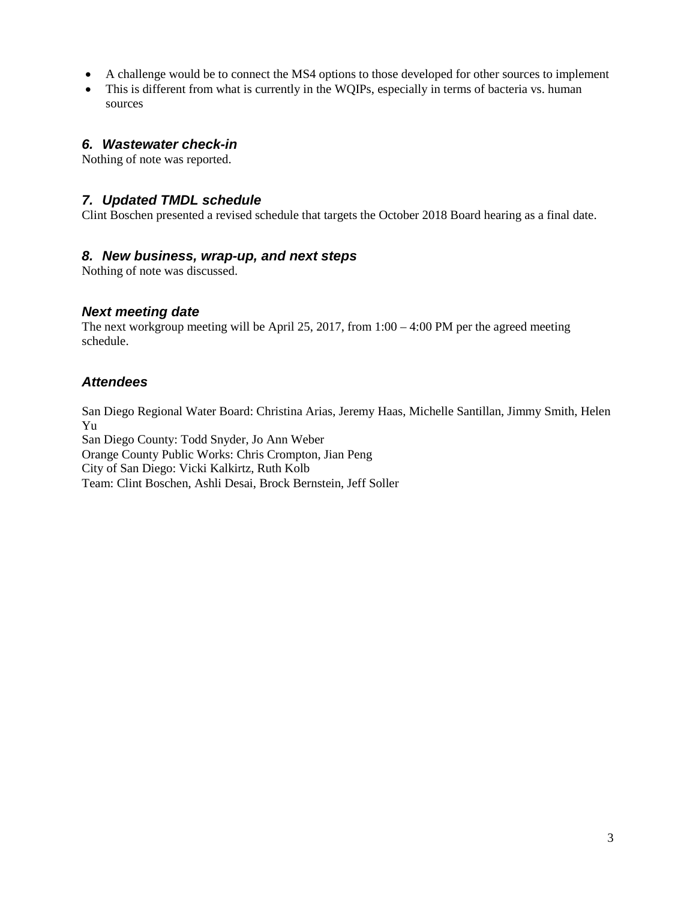- A challenge would be to connect the MS4 options to those developed for other sources to implement
- This is different from what is currently in the WOIPs, especially in terms of bacteria vs. human sources

#### *6. Wastewater check-in*

Nothing of note was reported.

#### *7. Updated TMDL schedule*

Clint Boschen presented a revised schedule that targets the October 2018 Board hearing as a final date.

#### *8. New business, wrap-up, and next steps*

Nothing of note was discussed.

#### *Next meeting date*

The next workgroup meeting will be April 25, 2017, from  $1:00 - 4:00$  PM per the agreed meeting schedule.

#### *Attendees*

San Diego Regional Water Board: Christina Arias, Jeremy Haas, Michelle Santillan, Jimmy Smith, Helen Yu

San Diego County: Todd Snyder, Jo Ann Weber Orange County Public Works: Chris Crompton, Jian Peng City of San Diego: Vicki Kalkirtz, Ruth Kolb Team: Clint Boschen, Ashli Desai, Brock Bernstein, Jeff Soller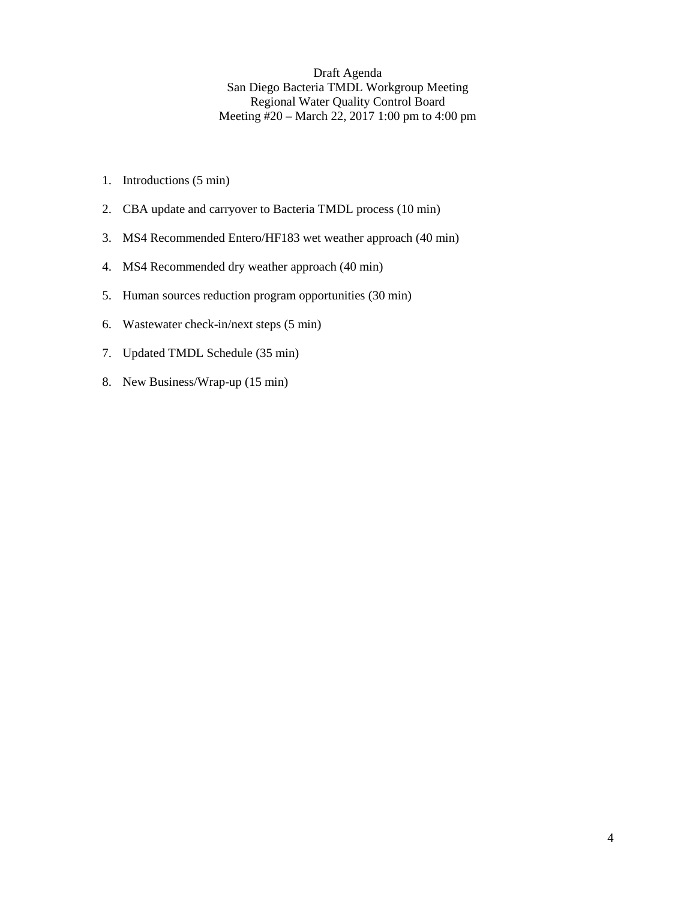Draft Agenda San Diego Bacteria TMDL Workgroup Meeting Regional Water Quality Control Board Meeting #20 – March 22, 2017 1:00 pm to 4:00 pm

- 1. Introductions (5 min)
- 2. CBA update and carryover to Bacteria TMDL process (10 min)
- 3. MS4 Recommended Entero/HF183 wet weather approach (40 min)
- 4. MS4 Recommended dry weather approach (40 min)
- 5. Human sources reduction program opportunities (30 min)
- 6. Wastewater check-in/next steps (5 min)
- 7. Updated TMDL Schedule (35 min)
- 8. New Business/Wrap-up (15 min)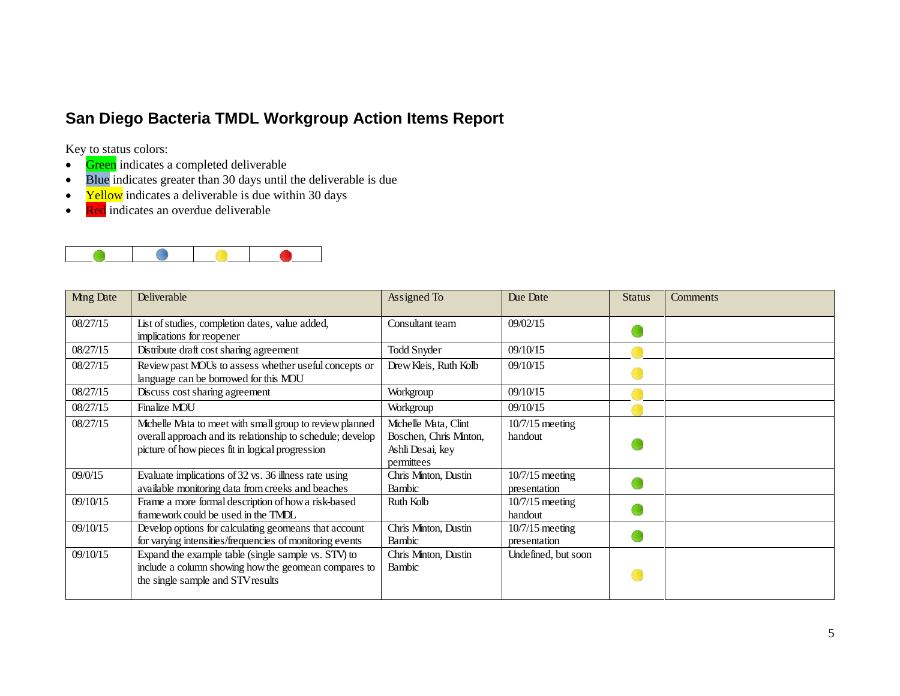## **San Diego Bacteria TMDL Workgroup Action Items Report**

Key to status colors:

- Green indicates a completed deliverable
- Blue indicates greater than 30 days until the deliverable is due
- Yellow indicates a deliverable is due within 30 days
- Red indicates an overdue deliverable



| Ming Date | Deliverable                                                | Assigned To            | Due Date            | <b>Status</b> | <b>Comments</b> |
|-----------|------------------------------------------------------------|------------------------|---------------------|---------------|-----------------|
|           |                                                            |                        |                     |               |                 |
| 08/27/15  | List of studies, completion dates, value added,            | Consultant team        | 09/02/15            |               |                 |
|           | implications for reopener                                  |                        |                     |               |                 |
| 08/27/15  | Distribute draft cost sharing agreement                    | <b>Todd Snyder</b>     | 09/10/15            |               |                 |
| 08/27/15  | Review past MOUs to assess whether useful concepts or      | Drew Kleis, Ruth Kolb  | 09/10/15            |               |                 |
|           | language can be borrowed for this MOU                      |                        |                     |               |                 |
| 08/27/15  | Discuss cost sharing agreement                             | Workgroup              | 09/10/15            |               |                 |
| 08/27/15  | Finalize MOU                                               | Workgroup              | 09/10/15            |               |                 |
| 08/27/15  | Michelle Mata to meet with small group to review planned   | Michelle Mata, Clint   | $10/7/15$ meeting   |               |                 |
|           | overall approach and its relationship to schedule; develop | Boschen, Chris Minton, | handout             |               |                 |
|           | picture of how pieces fit in logical progression           | Ashli Desai, key       |                     |               |                 |
|           |                                                            | permittees             |                     |               |                 |
| 09/0/15   | Evaluate implications of 32 vs. 36 illness rate using      | Chris Minton, Dustin   | $10/7/15$ meeting   |               |                 |
|           | available monitoring data from creeks and beaches          | Bambic                 | presentation        |               |                 |
| 09/10/15  | Frame a more formal description of how a risk-based        | Ruth Kolb              | $10/7/15$ meeting   |               |                 |
|           | framework could be used in the TMDL                        |                        | handout             |               |                 |
| 09/10/15  | Develop options for calculating geomeans that account      | Chris Minton, Dustin   | $10/7/15$ meeting   |               |                 |
|           | for varying intensities/frequencies of monitoring events   | Bambic                 | presentation        |               |                 |
| 09/10/15  | Expand the example table (single sample vs. STV) to        | Chris Minton, Dustin   | Undefined, but soon |               |                 |
|           | include a column showing how the geomean compares to       | Bambic                 |                     |               |                 |
|           | the single sample and STV results                          |                        |                     |               |                 |
|           |                                                            |                        |                     |               |                 |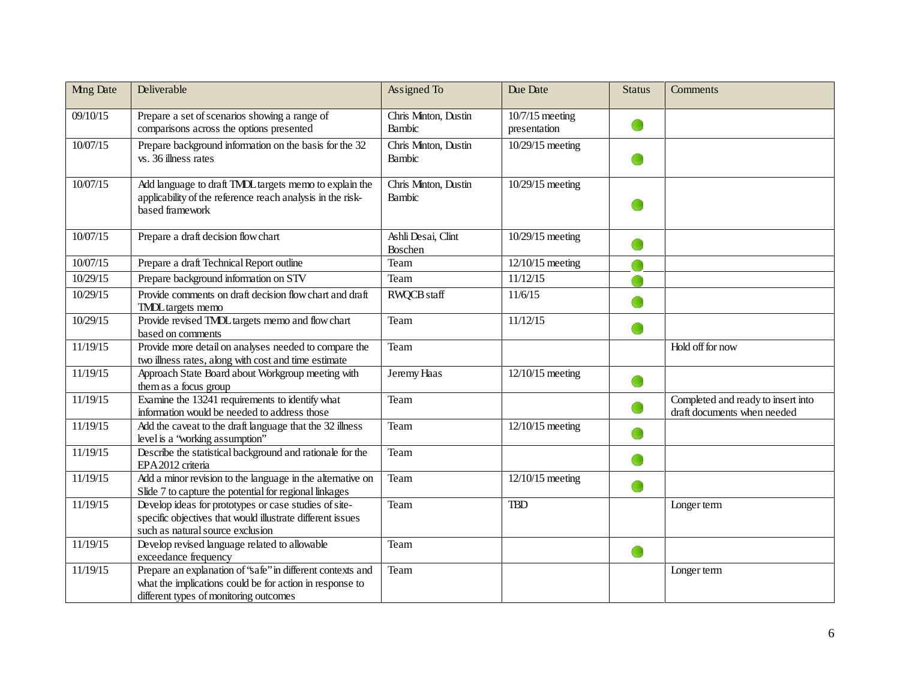| <b>Mng Date</b> | Deliverable                                                                                                                                                       | Assigned To                    | Due Date                          | <b>Status</b> | Comments                                                          |
|-----------------|-------------------------------------------------------------------------------------------------------------------------------------------------------------------|--------------------------------|-----------------------------------|---------------|-------------------------------------------------------------------|
| 09/10/15        | Prepare a set of scenarios showing a range of<br>comparisons across the options presented                                                                         | Chris Minton, Dustin<br>Bambic | $10/7/15$ meeting<br>presentation |               |                                                                   |
| 10/07/15        | Prepare background information on the basis for the 32<br>vs. 36 illness rates                                                                                    | Chris Minton, Dustin<br>Bambic | 10/29/15 meeting                  |               |                                                                   |
| 10/07/15        | Add language to draft TMDL targets memo to explain the<br>applicability of the reference reach analysis in the risk-<br>based framework                           | Chris Minton, Dustin<br>Bambic | 10/29/15 meeting                  |               |                                                                   |
| 10/07/15        | Prepare a draft decision flow chart                                                                                                                               | Ashli Desai, Clint<br>Boschen  | 10/29/15 meeting                  |               |                                                                   |
| 10/07/15        | Prepare a draft Technical Report outline                                                                                                                          | Team                           | 12/10/15 meeting                  |               |                                                                   |
| 10/29/15        | Prepare background information on STV                                                                                                                             | Team                           | 11/12/15                          |               |                                                                   |
| 10/29/15        | Provide comments on draft decision flow chart and draft<br><b>TMDL</b> targets memo                                                                               | RWQCB staff                    | 11/6/15                           |               |                                                                   |
| 10/29/15        | Provide revised TMDL targets memo and flow chart<br>based on comments                                                                                             | Team                           | 11/12/15                          |               |                                                                   |
| 11/19/15        | Provide more detail on analyses needed to compare the<br>two illness rates, along with cost and time estimate                                                     | Team                           |                                   |               | Hold off for now                                                  |
| 11/19/15        | Approach State Board about Workgroup meeting with<br>them as a focus group                                                                                        | Jeremy Haas                    | $12/10/15$ meeting                |               |                                                                   |
| 11/19/15        | Examine the 13241 requirements to identify what<br>information would be needed to address those                                                                   | Team                           |                                   |               | Completed and ready to insert into<br>draft documents when needed |
| 11/19/15        | Add the caveat to the draft language that the 32 illness<br>level is a 'working assumption''                                                                      | Team                           | 12/10/15 meeting                  |               |                                                                   |
| 11/19/15        | Describe the statistical background and rationale for the<br>EPA 2012 criteria                                                                                    | Team                           |                                   |               |                                                                   |
| 11/19/15        | Add a minor revision to the language in the alternative on<br>Slide 7 to capture the potential for regional linkages                                              | Team                           | 12/10/15 meeting                  | œ             |                                                                   |
| 11/19/15        | Develop ideas for prototypes or case studies of site-<br>specific objectives that would illustrate different issues<br>such as natural source exclusion           | Team                           | <b>TBD</b>                        |               | Longer term                                                       |
| 11/19/15        | Develop revised language related to allowable<br>exceedance frequency                                                                                             | Team                           |                                   | O             |                                                                   |
| 11/19/15        | Prepare an explanation of 'safe'' in different contexts and<br>what the implications could be for action in response to<br>different types of monitoring outcomes | Team                           |                                   |               | Longer term                                                       |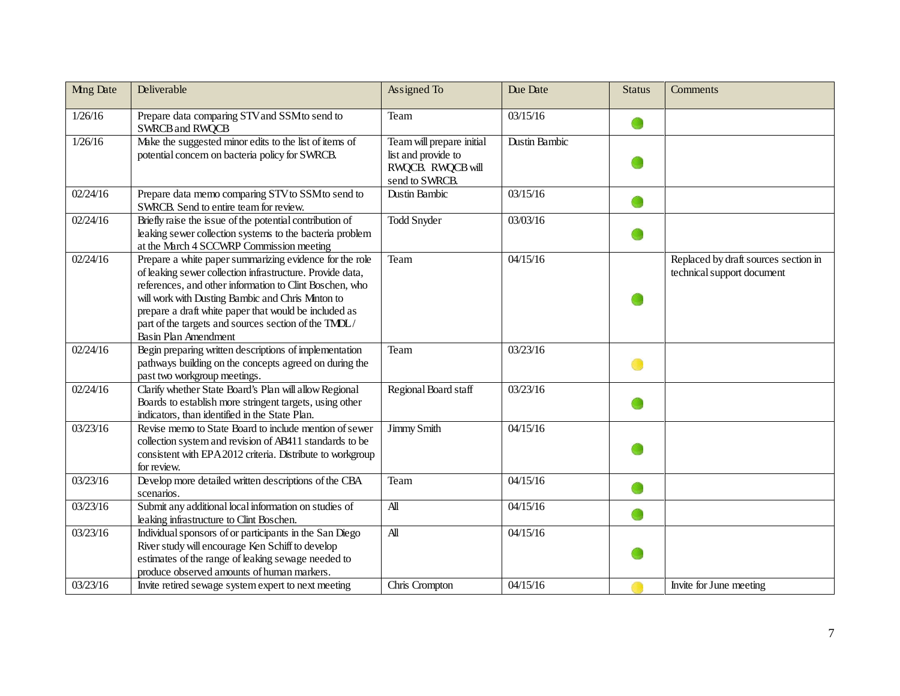| <b>Mng Date</b> | Deliverable                                                                                                                                                                                                                                                                                                                                                                   | Assigned To                                                                             | Due Date      | <b>Status</b> | Comments                                                           |
|-----------------|-------------------------------------------------------------------------------------------------------------------------------------------------------------------------------------------------------------------------------------------------------------------------------------------------------------------------------------------------------------------------------|-----------------------------------------------------------------------------------------|---------------|---------------|--------------------------------------------------------------------|
| 1/26/16         | Prepare data comparing STV and SSM to send to<br><b>SWRCB and RWQCB</b>                                                                                                                                                                                                                                                                                                       | Team                                                                                    | 03/15/16      |               |                                                                    |
| 1/26/16         | Make the suggested minor edits to the list of items of<br>potential concern on bacteria policy for SWRCB.                                                                                                                                                                                                                                                                     | Team will prepare initial<br>list and provide to<br>RWQCB. RWQCB will<br>send to SWRCB. | Dustin Bambic |               |                                                                    |
| 02/24/16        | Prepare data memo comparing STV to SSM to send to<br>SWRCB. Send to entire team for review.                                                                                                                                                                                                                                                                                   | <b>Dustin Bambic</b>                                                                    | 03/15/16      |               |                                                                    |
| 02/24/16        | Briefly raise the issue of the potential contribution of<br>leaking sewer collection systems to the bacteria problem<br>at the March 4 SCCWRP Commission meeting                                                                                                                                                                                                              | <b>Todd Snyder</b>                                                                      | 03/03/16      |               |                                                                    |
| 02/24/16        | Prepare a white paper summarizing evidence for the role<br>of leaking sewer collection infrastructure. Provide data,<br>references, and other information to Clint Boschen, who<br>will work with Dusting Bambic and Chris Minton to<br>prepare a draft white paper that would be included as<br>part of the targets and sources section of the TMDL/<br>Basin Plan Amendment | Team                                                                                    | 04/15/16      |               | Replaced by draft sources section in<br>technical support document |
| 02/24/16        | Begin preparing written descriptions of implementation<br>pathways building on the concepts agreed on during the<br>past two workgroup meetings.                                                                                                                                                                                                                              | Team                                                                                    | 03/23/16      |               |                                                                    |
| 02/24/16        | Clarify whether State Board's Plan will allow Regional<br>Boards to establish more stringent targets, using other<br>indicators, than identified in the State Plan.                                                                                                                                                                                                           | Regional Board staff                                                                    | 03/23/16      |               |                                                                    |
| 03/23/16        | Revise memo to State Board to include mention of sewer<br>collection system and revision of AB411 standards to be<br>consistent with EPA 2012 criteria. Distribute to workgroup<br>for review.                                                                                                                                                                                | Jimmy Smith                                                                             | 04/15/16      |               |                                                                    |
| 03/23/16        | Develop more detailed written descriptions of the CBA<br>scenarios.                                                                                                                                                                                                                                                                                                           | Team                                                                                    | 04/15/16      |               |                                                                    |
| 03/23/16        | Submit any additional local information on studies of<br>leaking infrastructure to Clint Boschen.                                                                                                                                                                                                                                                                             | $\mathbf{A}$ ll                                                                         | 04/15/16      |               |                                                                    |
| 03/23/16        | Individual sponsors of or participants in the San Diego<br>River study will encourage Ken Schiff to develop<br>estimates of the range of leaking sewage needed to<br>produce observed amounts of human markers.                                                                                                                                                               | $\overline{A}$                                                                          | 04/15/16      |               |                                                                    |
| 03/23/16        | Invite retired sewage system expert to next meeting                                                                                                                                                                                                                                                                                                                           | Chris Crompton                                                                          | 04/15/16      |               | Invite for June meeting                                            |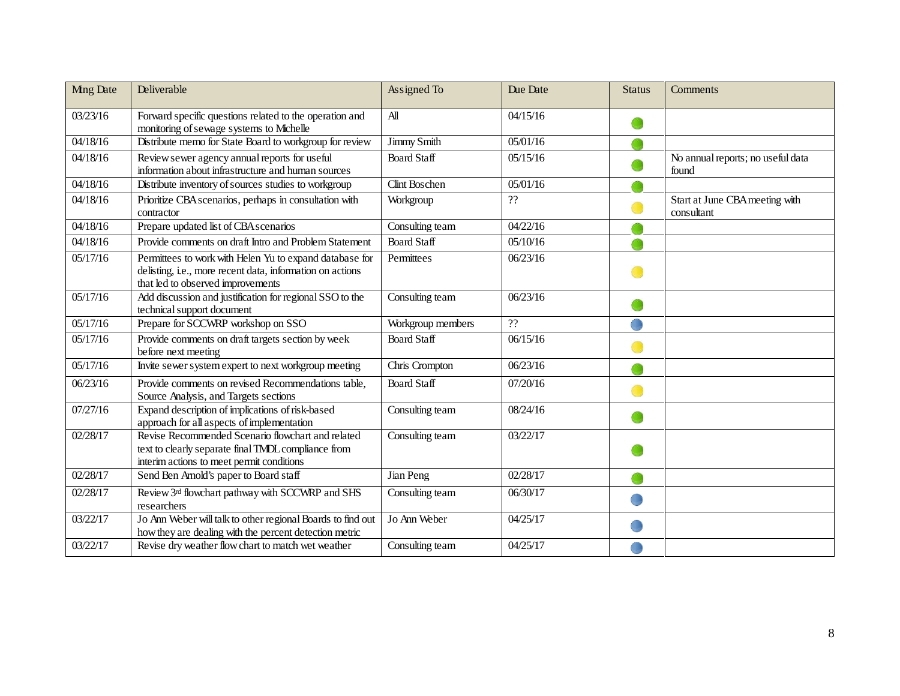| <b>Mng Date</b> | Deliverable                                                                                                                                               | Assigned To        | Due Date | <b>Status</b> | Comments                                     |
|-----------------|-----------------------------------------------------------------------------------------------------------------------------------------------------------|--------------------|----------|---------------|----------------------------------------------|
| 03/23/16        | Forward specific questions related to the operation and<br>monitoring of sewage systems to Mchelle                                                        | $\mathbf{A}$ ll    | 04/15/16 |               |                                              |
| 04/18/16        | Distribute memo for State Board to workgroup for review                                                                                                   | Jimmy Smith        | 05/01/16 |               |                                              |
| 04/18/16        | Review sewer agency annual reports for useful<br>information about infrastructure and human sources                                                       | <b>Board Staff</b> | 05/15/16 |               | No annual reports; no useful data<br>found   |
| 04/18/16        | Distribute inventory of sources studies to workgroup                                                                                                      | Clint Boschen      | 05/01/16 |               |                                              |
| 04/18/16        | Prioritize CBA scenarios, perhaps in consultation with<br>contractor                                                                                      | Workgroup          | ??       |               | Start at June CBA meeting with<br>consultant |
| 04/18/16        | Prepare updated list of CBA scenarios                                                                                                                     | Consulting team    | 04/22/16 |               |                                              |
| 04/18/16        | Provide comments on draft Intro and Problem Statement                                                                                                     | <b>Board Staff</b> | 05/10/16 |               |                                              |
| 05/17/16        | Permittees to work with Helen Yu to expand database for<br>delisting, i.e., more recent data, information on actions<br>that led to observed improvements | Permittees         | 06/23/16 |               |                                              |
| 05/17/16        | Add discussion and justification for regional SSO to the<br>technical support document                                                                    | Consulting team    | 06/23/16 |               |                                              |
| 05/17/16        | Prepare for SCCWRP workshop on SSO                                                                                                                        | Workgroup members  | ??       |               |                                              |
| 05/17/16        | Provide comments on draft targets section by week<br>before next meeting                                                                                  | <b>Board Staff</b> | 06/15/16 |               |                                              |
| 05/17/16        | Invite sewer system expert to next workgroup meeting                                                                                                      | Chris Crompton     | 06/23/16 |               |                                              |
| 06/23/16        | Provide comments on revised Recommendations table,<br>Source Analysis, and Targets sections                                                               | <b>Board Staff</b> | 07/20/16 |               |                                              |
| 07/27/16        | Expand description of implications of risk-based<br>approach for all aspects of implementation                                                            | Consulting team    | 08/24/16 |               |                                              |
| 02/28/17        | Revise Recommended Scenario flowchart and related<br>text to clearly separate final TMDL compliance from<br>interim actions to meet permit conditions     | Consulting team    | 03/22/17 |               |                                              |
| 02/28/17        | Send Ben Arnold's paper to Board staff                                                                                                                    | Jian Peng          | 02/28/17 |               |                                              |
| 02/28/17        | Review 3rd flowchart pathway with SCCWRP and SHS<br>researchers                                                                                           | Consulting team    | 06/30/17 |               |                                              |
| 03/22/17        | Jo Ann Weber will talk to other regional Boards to find out<br>how they are dealing with the percent detection metric                                     | Jo Ann Weber       | 04/25/17 |               |                                              |
| 03/22/17        | Revise dry weather flow chart to match wet weather                                                                                                        | Consulting team    | 04/25/17 |               |                                              |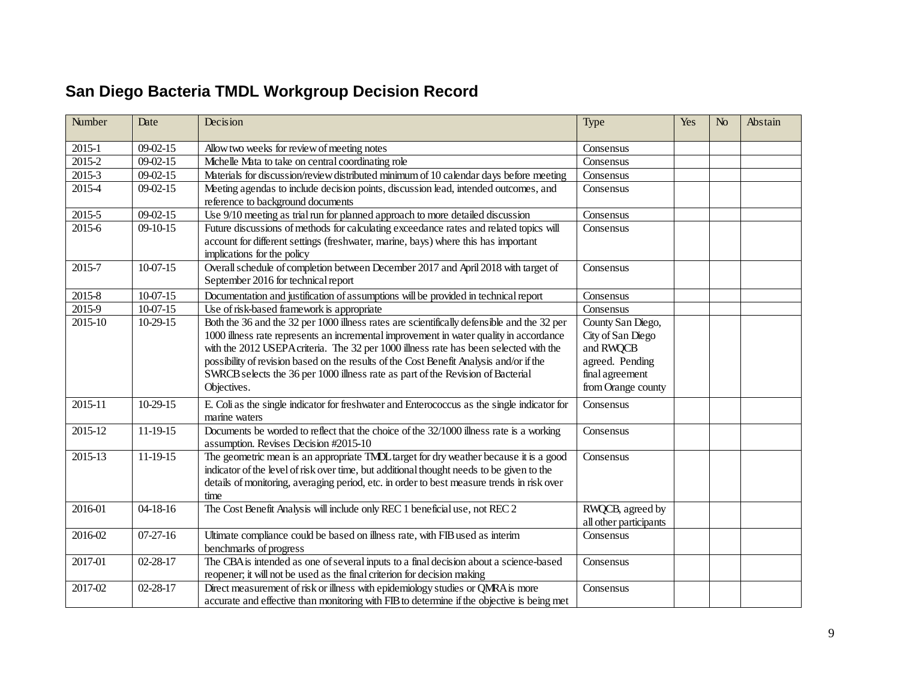# **San Diego Bacteria TMDL Workgroup Decision Record**

| Number                | Date           | Decision                                                                                                                                                                                                                                                                                                                                                                                                                                                                   | Type                                                                                                            | Yes | N <sub>0</sub> | Abstain |
|-----------------------|----------------|----------------------------------------------------------------------------------------------------------------------------------------------------------------------------------------------------------------------------------------------------------------------------------------------------------------------------------------------------------------------------------------------------------------------------------------------------------------------------|-----------------------------------------------------------------------------------------------------------------|-----|----------------|---------|
| 2015-1                | $09 - 02 - 15$ | Allow two weeks for review of meeting notes                                                                                                                                                                                                                                                                                                                                                                                                                                | Consensus                                                                                                       |     |                |         |
| 2015-2                | $09 - 02 - 15$ | Michelle Mata to take on central coordinating role                                                                                                                                                                                                                                                                                                                                                                                                                         | Consensus                                                                                                       |     |                |         |
| 2015-3                | $09 - 02 - 15$ | Materials for discussion/review distributed minimum of 10 calendar days before meeting                                                                                                                                                                                                                                                                                                                                                                                     | Consensus                                                                                                       |     |                |         |
| 2015-4                | $09 - 02 - 15$ | Meeting agendas to include decision points, discussion lead, intended outcomes, and<br>reference to background documents                                                                                                                                                                                                                                                                                                                                                   | Consensus                                                                                                       |     |                |         |
| 2015-5                | $09 - 02 - 15$ | Use 9/10 meeting as trial run for planned approach to more detailed discussion                                                                                                                                                                                                                                                                                                                                                                                             | Consensus                                                                                                       |     |                |         |
| 2015-6                | $09-10-15$     | Future discussions of methods for calculating exceedance rates and related topics will<br>account for different settings (freshwater, marine, bays) where this has important<br>implications for the policy                                                                                                                                                                                                                                                                | Consensus                                                                                                       |     |                |         |
| 2015-7                | 10-07-15       | Overall schedule of completion between December 2017 and April 2018 with target of<br>September 2016 for technical report                                                                                                                                                                                                                                                                                                                                                  | Consensus                                                                                                       |     |                |         |
| 2015-8                | $10-07-15$     | Documentation and justification of assumptions will be provided in technical report                                                                                                                                                                                                                                                                                                                                                                                        | Consensus                                                                                                       |     |                |         |
| $\overline{2015} - 9$ | $10-07-15$     | Use of risk-based framework is appropriate                                                                                                                                                                                                                                                                                                                                                                                                                                 | Consensus                                                                                                       |     |                |         |
| 2015-10               | $10-29-15$     | Both the 36 and the 32 per 1000 illness rates are scientifically defensible and the 32 per<br>1000 illness rate represents an incremental improvement in water quality in accordance<br>with the 2012 USEPA criteria. The 32 per 1000 illness rate has been selected with the<br>possibility of revision based on the results of the Cost Benefit Analysis and/or if the<br>SWRCB selects the 36 per 1000 illness rate as part of the Revision of Bacterial<br>Objectives. | County San Diego,<br>City of San Diego<br>and RWQCB<br>agreed. Pending<br>final agreement<br>from Orange county |     |                |         |
| 2015-11               | 10-29-15       | E. Coli as the single indicator for freshwater and Enterococcus as the single indicator for<br>marine waters                                                                                                                                                                                                                                                                                                                                                               | Consensus                                                                                                       |     |                |         |
| 2015-12               | 11-19-15       | Documents be worded to reflect that the choice of the 32/1000 illness rate is a working<br>assumption. Revises Decision #2015-10                                                                                                                                                                                                                                                                                                                                           | Consensus                                                                                                       |     |                |         |
| 2015-13               | 11-19-15       | The geometric mean is an appropriate TMDL target for dry weather because it is a good<br>indicator of the level of risk over time, but additional thought needs to be given to the<br>details of monitoring, averaging period, etc. in order to best measure trends in risk over<br>time                                                                                                                                                                                   | Consensus                                                                                                       |     |                |         |
| 2016-01               | 04-18-16       | The Cost Benefit Analysis will include only REC 1 beneficial use, not REC 2                                                                                                                                                                                                                                                                                                                                                                                                | RWQCB, agreed by<br>all other participants                                                                      |     |                |         |
| 2016-02               | $07-27-16$     | Ultimate compliance could be based on illness rate, with FIB used as interim<br>benchmarks of progress                                                                                                                                                                                                                                                                                                                                                                     | Consensus                                                                                                       |     |                |         |
| 2017-01               | $02 - 28 - 17$ | The CBA is intended as one of several inputs to a final decision about a science-based<br>reopener; it will not be used as the final criterion for decision making                                                                                                                                                                                                                                                                                                         | Consensus                                                                                                       |     |                |         |
| 2017-02               | $02 - 28 - 17$ | Direct measurement of risk or illness with epidemiology studies or QMRA is more<br>accurate and effective than monitoring with FIB to determine if the objective is being met                                                                                                                                                                                                                                                                                              | Consensus                                                                                                       |     |                |         |